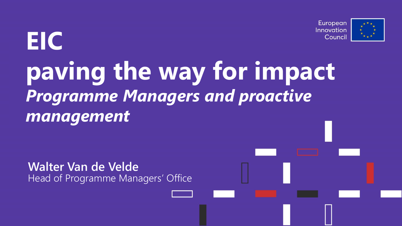

# **EIC paving the way for impact** *Programme Managers and proactive management*

**Walter Van de Velde** Head of Programme Managers' Office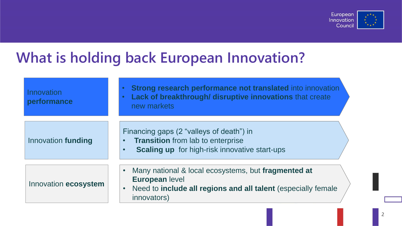

### **What is holding back European Innovation?**

| Innovation<br>performance | <b>Strong research performance not translated into innovation</b><br>Lack of breakthrough/ disruptive innovations that create<br>new markets                                                     |
|---------------------------|--------------------------------------------------------------------------------------------------------------------------------------------------------------------------------------------------|
| Innovation funding        | Financing gaps (2 "valleys of death") in<br><b>Transition</b> from lab to enterprise<br>$\bullet$ .<br><br><br><br><br><br><br><b>Scaling up</b> for high-risk innovative start-ups<br>$\bullet$ |
| Innovation ecosystem      | Many national & local ecosystems, but fragmented at<br><b>European level</b><br>Need to include all regions and all talent (especially female<br>$\bullet$<br>innovators)                        |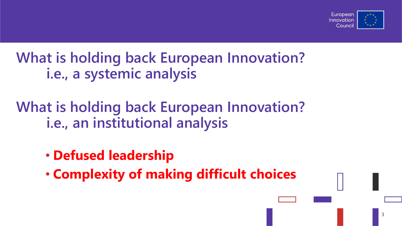

**What is holding back European Innovation? i.e., a systemic analysis**

**What is holding back European Innovation? i.e., an institutional analysis**

- **Defused leadership**
- **Complexity of making difficult choices**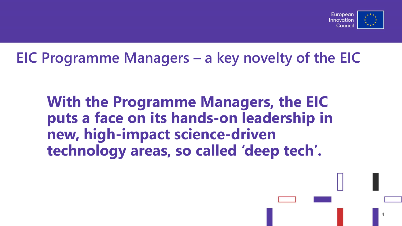

# **EIC Programme Managers – a key novelty of the EIC**

**With the Programme Managers, the EIC puts a face on its hands-on leadership in new, high-impact science-driven technology areas, so called 'deep tech'.**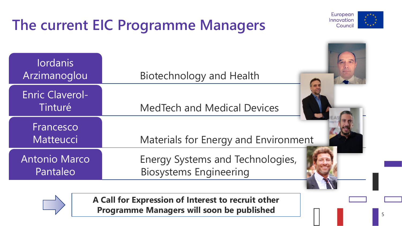# **The current EIC Programme Managers**



| <b>lordanis</b><br>Arzimanoglou   | Biotechnology and Health                                          |
|-----------------------------------|-------------------------------------------------------------------|
| <b>Enric Claverol-</b><br>Tinturé | <b>MedTech and Medical Devices</b>                                |
| Francesco<br>Matteucci            | Materials for Energy and Environment                              |
| Antonio Marco<br>Pantaleo         | Energy Systems and Technologies,<br><b>Biosystems Engineering</b> |



**A Call for Expression of Interest to recruit other Programme Managers will soon be published**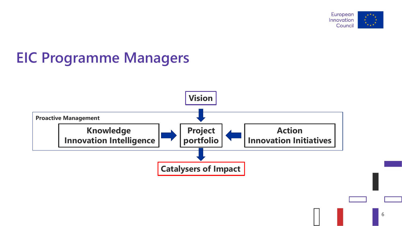

# **EIC Programme Managers**

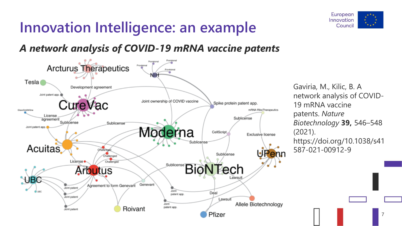# **Innovation Intelligence: an example**



#### *A network analysis of COVID-19 mRNA vaccine patents*



Gaviria, M., Kilic, B. A network analysis of COVID-19 mRNA vaccine patents. *Nature Biotechnology* **39,** 546–548 (2021). https://doi.org/10.1038/s41 587-021-00912-9

7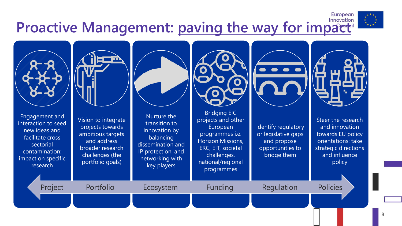# **Proactive Management: paving the way for impaction**



Engagement and interaction to seed new ideas and facilitate cross sectorial contamination: impact on specific research



Vision to integrate projects towards ambitious targets and address broader research challenges (the portfolio goals)

Nurture the transition to innovation by balancing dissemination and IP protection, and networking with key players

Project Portfolio Ecosystem Funding Regulation Policies



Bridging EIC projects and other European programmes i.e. Horizon Missions, ERC, EIT, societal challenges, national/regional programmes



Identify regulatory or legislative gaps and propose opportunities to bridge them



European

Steer the research and innovation towards EU policy orientations: take strategic directions and influence policy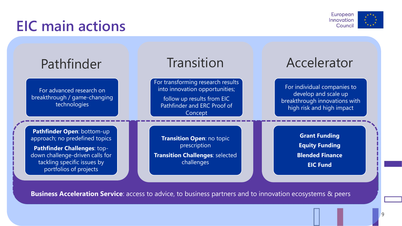### **EIC main actions**



| Pathfinder                                                                                                                                                                                     | Transition                                                                                                                                  | Accelerator                                                                                                       |
|------------------------------------------------------------------------------------------------------------------------------------------------------------------------------------------------|---------------------------------------------------------------------------------------------------------------------------------------------|-------------------------------------------------------------------------------------------------------------------|
| For advanced research on<br>breakthrough / game-changing<br>technologies                                                                                                                       | For transforming research results<br>into innovation opportunities;<br>follow up results from EIC<br>Pathfinder and ERC Proof of<br>Concept | For individual companies to<br>develop and scale up<br>breakthrough innovations with<br>high risk and high impact |
| Pathfinder Open: bottom-up<br>approach; no predefined topics<br><b>Pathfinder Challenges: top-</b><br>down challenge-driven calls for<br>tackling specific issues by<br>portfolios of projects | Transition Open: no topic<br>prescription<br><b>Transition Challenges: selected</b><br>challenges                                           | <b>Grant Funding</b><br><b>Equity Funding</b><br><b>Blended Finance</b><br><b>EIC Fund</b>                        |

**Business Acceleration Service**: access to advice, to business partners and to innovation ecosystems & peers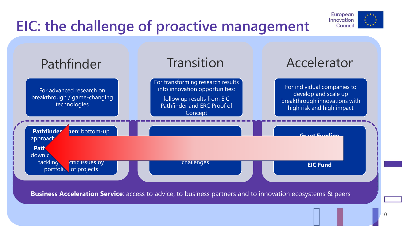# **EIC: the challenge of proactive management**





**Business Acceleration Service**: access to advice, to business partners and to innovation ecosystems & peers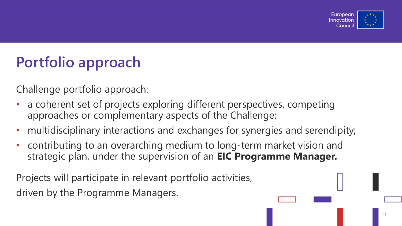

# **Portfolio approach**

Challenge portfolio approach:

- a coherent set of projects exploring different perspectives, competing approaches or complementary aspects of the Challenge;
- multidisciplinary interactions and exchanges for synergies and serendipity;
- contributing to an overarching medium to long-term market vision and strategic plan, under the supervision of an **EIC Programme Manager.**

Projects will participate in relevant portfolio activities, driven by the Programme Managers.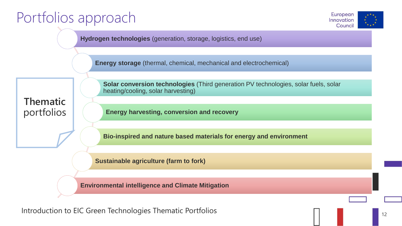# Portfolios approach



**Hydrogen technologies** (generation, storage, logistics, end use)

**Energy storage** (thermal, chemical, mechanical and electrochemical)

**Thematic**  portfolios **Solar conversion technologies** (Third generation PV technologies, solar fuels, solar heating/cooling, solar harvesting)

**Energy harvesting, conversion and recovery**

**Bio-inspired and nature based materials for energy and environment**

**Sustainable agriculture (farm to fork)**

**Environmental intelligence and Climate Mitigation**

Introduction to EIC Green Technologies Thematic Portfolios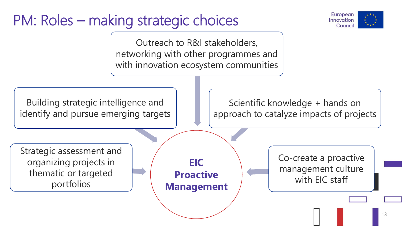# PM: Roles – making strategic choices



Outreach to R&I stakeholders, networking with other programmes and with innovation ecosystem communities



Scientific knowledge + hands on approach to catalyze impacts of projects

Strategic assessment and organizing projects in thematic or targeted portfolios

**EIC Proactive Management** Co-create a proactive management culture with EIC staff